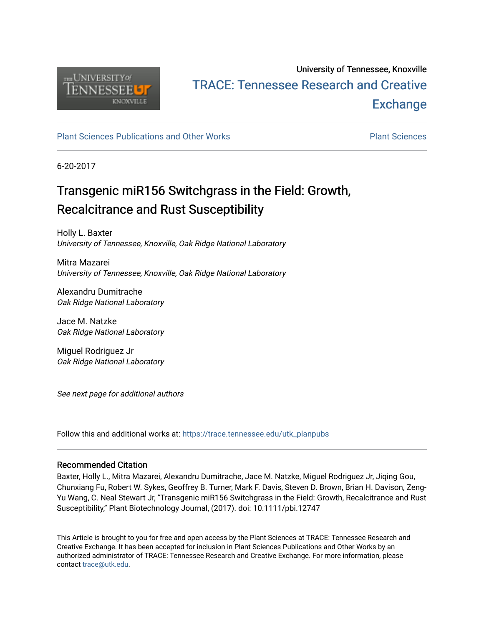

# University of Tennessee, Knoxville TRACE: T[ennessee Research and Cr](https://trace.tennessee.edu/)eative **Exchange**

# [Plant Sciences Publications and Other Works](https://trace.tennessee.edu/utk_planpubs) [Plant Sciences](https://trace.tennessee.edu/utk-plan)

6-20-2017

# Transgenic miR156 Switchgrass in the Field: Growth, Recalcitrance and Rust Susceptibility

Holly L. Baxter University of Tennessee, Knoxville, Oak Ridge National Laboratory

Mitra Mazarei University of Tennessee, Knoxville, Oak Ridge National Laboratory

Alexandru Dumitrache Oak Ridge National Laboratory

Jace M. Natzke Oak Ridge National Laboratory

Miguel Rodriguez Jr Oak Ridge National Laboratory

See next page for additional authors

Follow this and additional works at: [https://trace.tennessee.edu/utk\\_planpubs](https://trace.tennessee.edu/utk_planpubs?utm_source=trace.tennessee.edu%2Futk_planpubs%2F86&utm_medium=PDF&utm_campaign=PDFCoverPages) 

## Recommended Citation

Baxter, Holly L., Mitra Mazarei, Alexandru Dumitrache, Jace M. Natzke, Miguel Rodriguez Jr, Jiqing Gou, Chunxiang Fu, Robert W. Sykes, Geoffrey B. Turner, Mark F. Davis, Steven D. Brown, Brian H. Davison, Zeng-Yu Wang, C. Neal Stewart Jr, "Transgenic miR156 Switchgrass in the Field: Growth, Recalcitrance and Rust Susceptibility," Plant Biotechnology Journal, (2017). doi: 10.1111/pbi.12747

This Article is brought to you for free and open access by the Plant Sciences at TRACE: Tennessee Research and Creative Exchange. It has been accepted for inclusion in Plant Sciences Publications and Other Works by an authorized administrator of TRACE: Tennessee Research and Creative Exchange. For more information, please contact [trace@utk.edu](mailto:trace@utk.edu).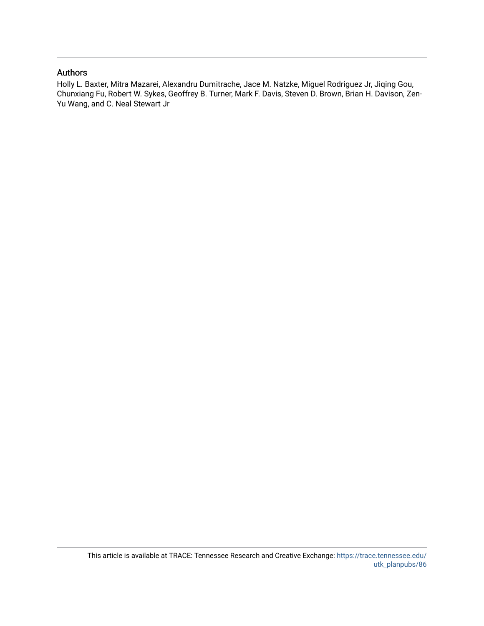## Authors

Holly L. Baxter, Mitra Mazarei, Alexandru Dumitrache, Jace M. Natzke, Miguel Rodriguez Jr, Jiqing Gou, Chunxiang Fu, Robert W. Sykes, Geoffrey B. Turner, Mark F. Davis, Steven D. Brown, Brian H. Davison, Zen-Yu Wang, and C. Neal Stewart Jr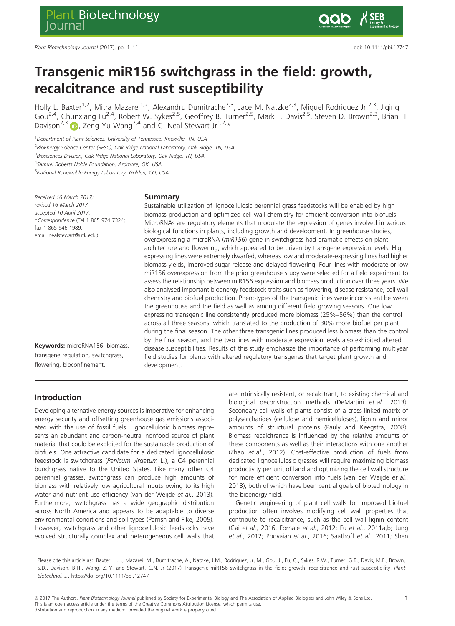# Transgenic miR156 switchgrass in the field: growth, recalcitrance and rust susceptibility

Holly L. Baxter<sup>1,2</sup>, Mitra Mazarei<sup>1,2</sup>, Alexandru Dumitrache<sup>2,3</sup>, Jace M. Natzke<sup>2,3</sup>, Miguel Rodriguez Jr.<sup>2,3</sup>, Jiqing Gou<sup>2,4</sup>, Chunxiang Fu<sup>2,4</sup>, Robert W. Sykes<sup>2,5</sup>, Geoffrey B. Turner<sup>2,5</sup>, Mark F. Davis<sup>2,5</sup>, Steven D. Brown<sup>2,3</sup>, Brian H. Davison<sup>2,3</sup> **D**, Zeng-Yu Wang<sup>2,4</sup> and C. Neal Stewart Jr<sup>1,2,\*</sup>

<sup>1</sup>Department of Plant Sciences, University of Tennessee, Knoxville, TN, USA

<sup>2</sup>BioEnergy Science Center (BESC), Oak Ridge National Laboratory, Oak Ridge, TN, USA

<sup>3</sup> Biosciences Division, Oak Ridge National Laboratory, Oak Ridge, TN, USA

4 Samuel Roberts Noble Foundation, Ardmore, OK, USA

5 National Renewable Energy Laboratory, Golden, CO, USA

Received 16 March 2017; revised 16 March 2017; accepted 10 April 2017. \*Correspondence (Tel 1 865 974 7324; fax 1 865 946 1989; email nealstewart@utk.edu)

Keywords: microRNA156, biomass, transgene regulation, switchgrass, flowering, bioconfinement.

#### Summary

Sustainable utilization of lignocellulosic perennial grass feedstocks will be enabled by high biomass production and optimized cell wall chemistry for efficient conversion into biofuels. MicroRNAs are regulatory elements that modulate the expression of genes involved in various biological functions in plants, including growth and development. In greenhouse studies, overexpressing a microRNA (miR156) gene in switchgrass had dramatic effects on plant architecture and flowering, which appeared to be driven by transgene expression levels. High expressing lines were extremely dwarfed, whereas low and moderate-expressing lines had higher biomass yields, improved sugar release and delayed flowering. Four lines with moderate or low miR156 overexpression from the prior greenhouse study were selected for a field experiment to assess the relationship between miR156 expression and biomass production over three years. We also analysed important bioenergy feedstock traits such as flowering, disease resistance, cell wall chemistry and biofuel production. Phenotypes of the transgenic lines were inconsistent between the greenhouse and the field as well as among different field growing seasons. One low expressing transgenic line consistently produced more biomass (25%–56%) than the control across all three seasons, which translated to the production of 30% more biofuel per plant during the final season. The other three transgenic lines produced less biomass than the control by the final season, and the two lines with moderate expression levels also exhibited altered disease susceptibilities. Results of this study emphasize the importance of performing multiyear field studies for plants with altered regulatory transgenes that target plant growth and development.

## Introduction

Developing alternative energy sources is imperative for enhancing energy security and offsetting greenhouse gas emissions associated with the use of fossil fuels. Lignocellulosic biomass represents an abundant and carbon-neutral nonfood source of plant material that could be exploited for the sustainable production of biofuels. One attractive candidate for a dedicated lignocellulosic feedstock is switchgrass (Panicum virgatum L.), a C4 perennial bunchgrass native to the United States. Like many other C4 perennial grasses, switchgrass can produce high amounts of biomass with relatively low agricultural inputs owing to its high water and nutrient use efficiency (van der Weijde et al., 2013). Furthermore, switchgrass has a wide geographic distribution across North America and appears to be adaptable to diverse environmental conditions and soil types (Parrish and Fike, 2005). However, switchgrass and other lignocellulosic feedstocks have evolved structurally complex and heterogeneous cell walls that

are intrinsically resistant, or recalcitrant, to existing chemical and biological deconstruction methods (DeMartini et al., 2013). Secondary cell walls of plants consist of a cross-linked matrix of polysaccharides (cellulose and hemicelluloses), lignin and minor amounts of structural proteins (Pauly and Keegstra, 2008). Biomass recalcitrance is influenced by the relative amounts of these components as well as their interactions with one another (Zhao et al., 2012). Cost-effective production of fuels from dedicated lignocellulosic grasses will require maximizing biomass productivity per unit of land and optimizing the cell wall structure for more efficient conversion into fuels (van der Weijde et al., 2013), both of which have been central goals of biotechnology in the bioenergy field.

Genetic engineering of plant cell walls for improved biofuel production often involves modifying cell wall properties that contribute to recalcitrance, such as the cell wall lignin content (Cai et al., 2016; Fornalé et al., 2012; Fu et al., 2011a,b; Jung et al., 2012; Poovaiah et al., 2016; Saathoff et al., 2011; Shen

Please cite this article as: Baxter, H.L., Mazarei, M., Dumitrache, A., Natzke, J.M., Rodriguez, Jr, M., Gou, J., Fu, C., Sykes, R.W., Turner, G.B., Davis, M.F., Brown, S.D., Davison, B.H., Wang, Z.-Y. and Stewart, C.N. Jr (2017) Transgenic miR156 switchgrass in the field: growth, recalcitrance and rust susceptibility. Plant Biotechnol. J.,<https://doi.org/10.1111/pbi.12747>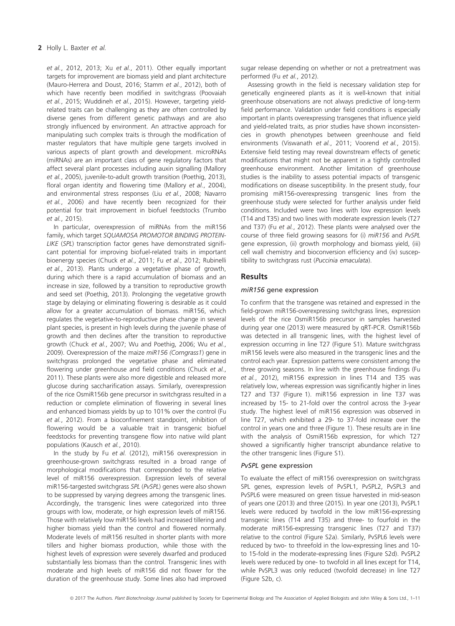et al., 2012, 2013; Xu et al., 2011). Other equally important targets for improvement are biomass yield and plant architecture (Mauro-Herrera and Doust, 2016; Stamm et al., 2012), both of which have recently been modified in switchgrass (Poovaiah et al., 2015; Wuddineh et al., 2015). However, targeting yieldrelated traits can be challenging as they are often controlled by diverse genes from different genetic pathways and are also strongly influenced by environment. An attractive approach for manipulating such complex traits is through the modification of master regulators that have multiple gene targets involved in various aspects of plant growth and development. microRNAs (miRNAs) are an important class of gene regulatory factors that affect several plant processes including auxin signalling (Mallory et al., 2005), juvenile-to-adult growth transition (Poethig, 2013), floral organ identity and flowering time (Mallory et al., 2004), and environmental stress responses (Liu et al., 2008; Navarro et al., 2006) and have recently been recognized for their potential for trait improvement in biofuel feedstocks (Trumbo et al., 2015).

In particular, overexpression of miRNAs from the miR156 family, which target SQUAMOSA PROMOTOR BINDING PROTEIN-LIKE (SPL) transcription factor genes have demonstrated significant potential for improving biofuel-related traits in important bioenergy species (Chuck et al., 2011; Fu et al., 2012; Rubinelli et al., 2013). Plants undergo a vegetative phase of growth, during which there is a rapid accumulation of biomass and an increase in size, followed by a transition to reproductive growth and seed set (Poethig, 2013). Prolonging the vegetative growth stage by delaying or eliminating flowering is desirable as it could allow for a greater accumulation of biomass. miR156, which regulates the vegetative-to-reproductive phase change in several plant species, is present in high levels during the juvenile phase of growth and then declines after the transition to reproductive growth (Chuck et al., 2007; Wu and Poethig, 2006; Wu et al., 2009). Overexpression of the maize miR156 (Corngrass1) gene in switchgrass prolonged the vegetative phase and eliminated flowering under greenhouse and field conditions (Chuck et al., 2011). These plants were also more digestible and released more glucose during saccharification assays. Similarly, overexpression of the rice OsmiR156b gene precursor in switchgrass resulted in a reduction or complete elimination of flowering in several lines and enhanced biomass yields by up to 101% over the control (Fu et al., 2012). From a bioconfinement standpoint, inhibition of flowering would be a valuable trait in transgenic biofuel feedstocks for preventing transgene flow into native wild plant populations (Kausch et al., 2010).

In the study by Fu et al. (2012), miR156 overexpression in greenhouse-grown switchgrass resulted in a broad range of morphological modifications that corresponded to the relative level of miR156 overexpression. Expression levels of several miR156-targested switchgrass SPL (PvSPL) genes were also shown to be suppressed by varying degrees among the transgenic lines. Accordingly, the transgenic lines were categorized into three groups with low, moderate, or high expression levels of miR156. Those with relatively low miR156 levels had increased tillering and higher biomass yield than the control and flowered normally. Moderate levels of miR156 resulted in shorter plants with more tillers and higher biomass production, while those with the highest levels of expression were severely dwarfed and produced substantially less biomass than the control. Transgenic lines with moderate and high levels of miR156 did not flower for the duration of the greenhouse study. Some lines also had improved sugar release depending on whether or not a pretreatment was performed (Fu et al., 2012).

Assessing growth in the field is necessary validation step for genetically engineered plants as it is well-known that initial greenhouse observations are not always predictive of long-term field performance. Validation under field conditions is especially important in plants overexpressing transgenes that influence yield and yield-related traits, as prior studies have shown inconsistencies in growth phenotypes between greenhouse and field environments (Viswanath et al., 2011; Voorend et al., 2015). Extensive field testing may reveal downstream effects of genetic modifications that might not be apparent in a tightly controlled greenhouse environment. Another limitation of greenhouse studies is the inability to assess potential impacts of transgenic modifications on disease susceptibility. In the present study, four promising miR156-overexpressing transgenic lines from the greenhouse study were selected for further analysis under field conditions. Included were two lines with low expression levels (T14 and T35) and two lines with moderate expression levels (T27 and T37) (Fu et al., 2012). These plants were analysed over the course of three field growing seasons for (i) miR156 and PvSPL gene expression, (ii) growth morphology and biomass yield, (iii) cell wall chemistry and bioconversion efficiency and (iv) susceptibility to switchgrass rust (Puccinia emaculata).

## Results

### miR156 gene expression

To confirm that the transgene was retained and expressed in the field-grown miR156-overexpressing switchgrass lines, expression levels of the rice OsmiR156b precursor in samples harvested during year one (2013) were measured by qRT-PCR. OsmiR156b was detected in all transgenic lines, with the highest level of expression occurring in line T27 (Figure S1). Mature switchgrass miR156 levels were also measured in the transgenic lines and the control each year. Expression patterns were consistent among the three growing seasons. In line with the greenhouse findings (Fu et al., 2012), miR156 expression in lines T14 and T35 was relatively low, whereas expression was significantly higher in lines T27 and T37 (Figure 1). miR156 expression in line T37 was increased by 15- to 21-fold over the control across the 3-year study. The highest level of miR156 expression was observed in line T27, which exhibited a 29- to 37-fold increase over the control in years one and three (Figure 1). These results are in line with the analysis of OsmiR156b expression, for which T27 showed a significantly higher transcript abundance relative to the other transgenic lines (Figure S1).

#### PvSPL gene expression

To evaluate the effect of miR156 overexpression on switchgrass SPL genes, expression levels of PvSPL1, PvSPL2, PvSPL3 and PvSPL6 were measured on green tissue harvested in mid-season of years one (2013) and three (2015). In year one (2013), PvSPL1 levels were reduced by twofold in the low miR156-expressing transgenic lines (T14 and T35) and three- to fourfold in the moderate miR156-expressing transgenic lines (T27 and T37) relative to the control (Figure S2a). Similarly, PvSPL6 levels were reduced by two- to threefold in the low-expressing lines and 10 to 15-fold in the moderate-expressing lines (Figure S2d). PvSPL2 levels were reduced by one- to twofold in all lines except for T14, while PvSPL3 was only reduced (twofold decrease) in line T27 (Figure S2b, c).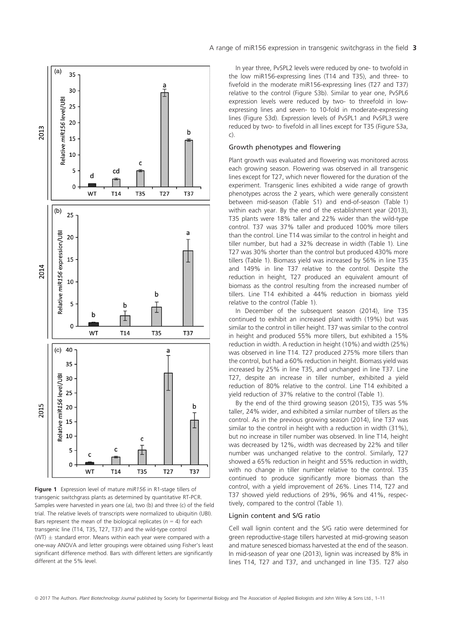

Figure 1 Expression level of mature miR156 in R1-stage tillers of transgenic switchgrass plants as determined by quantitative RT-PCR. Samples were harvested in years one (a), two (b) and three (c) of the field trial. The relative levels of transcripts were normalized to ubiquitin (UBI). Bars represent the mean of the biological replicates ( $n = 4$ ) for each transgenic line (T14, T35, T27, T37) and the wild-type control (WT)  $\pm$  standard error. Means within each year were compared with a one-way ANOVA and letter groupings were obtained using Fisher's least significant difference method. Bars with different letters are significantly different at the 5% level.

In year three, PvSPL2 levels were reduced by one- to twofold in the low miR156-expressing lines (T14 and T35), and three- to fivefold in the moderate miR156-expressing lines (T27 and T37) relative to the control (Figure S3b). Similar to year one, PvSPL6 expression levels were reduced by two- to threefold in lowexpressing lines and seven- to 10-fold in moderate-expressing lines (Figure S3d). Expression levels of PvSPL1 and PvSPL3 were reduced by two- to fivefold in all lines except for T35 (Figure S3a, c).

#### Growth phenotypes and flowering

Plant growth was evaluated and flowering was monitored across each growing season. Flowering was observed in all transgenic lines except for T27, which never flowered for the duration of the experiment. Transgenic lines exhibited a wide range of growth phenotypes across the 2 years, which were generally consistent between mid-season (Table S1) and end-of-season (Table 1) within each year. By the end of the establishment year (2013), T35 plants were 18% taller and 22% wider than the wild-type control. T37 was 37% taller and produced 100% more tillers than the control. Line T14 was similar to the control in height and tiller number, but had a 32% decrease in width (Table 1). Line T27 was 30% shorter than the control but produced 430% more tillers (Table 1). Biomass yield was increased by 56% in line T35 and 149% in line T37 relative to the control. Despite the reduction in height, T27 produced an equivalent amount of biomass as the control resulting from the increased number of tillers. Line T14 exhibited a 44% reduction in biomass yield relative to the control (Table 1).

In December of the subsequent season (2014), line T35 continued to exhibit an increased plant width (19%) but was similar to the control in tiller height. T37 was similar to the control in height and produced 55% more tillers, but exhibited a 15% reduction in width. A reduction in height (10%) and width (25%) was observed in line T14. T27 produced 275% more tillers than the control, but had a 60% reduction in height. Biomass yield was increased by 25% in line T35, and unchanged in line T37. Line T27, despite an increase in tiller number, exhibited a yield reduction of 80% relative to the control. Line T14 exhibited a yield reduction of 37% relative to the control (Table 1).

By the end of the third growing season (2015), T35 was 5% taller, 24% wider, and exhibited a similar number of tillers as the control. As in the previous growing season (2014), line T37 was similar to the control in height with a reduction in width (31%), but no increase in tiller number was observed. In line T14, height was decreased by 12%, width was decreased by 22% and tiller number was unchanged relative to the control. Similarly, T27 showed a 65% reduction in height and 55% reduction in width, with no change in tiller number relative to the control. T35 continued to produce significantly more biomass than the control, with a yield improvement of 26%. Lines T14, T27 and T37 showed yield reductions of 29%, 96% and 41%, respectively, compared to the control (Table 1).

#### Lignin content and S/G ratio

Cell wall lignin content and the S/G ratio were determined for green reproductive-stage tillers harvested at mid-growing season and mature senesced biomass harvested at the end of the season. In mid-season of year one (2013), lignin was increased by 8% in lines T14, T27 and T37, and unchanged in line T35. T27 also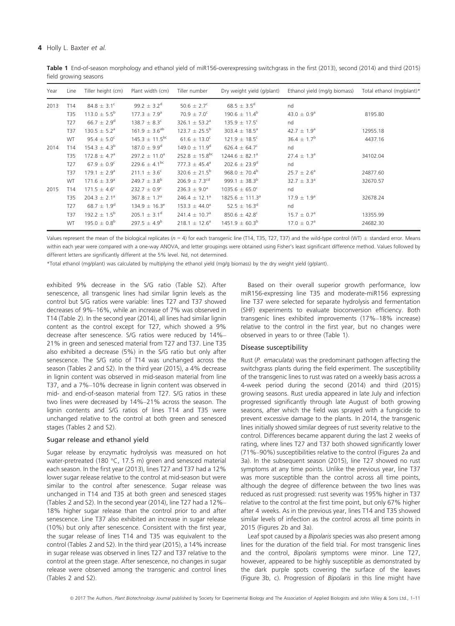Table 1 End-of-season morphology and ethanol yield of miR156-overexpressing switchgrass in the first (2013), second (2014) and third (2015) field growing seasons

| Year | Line            | Tiller height (cm)           | Plant width (cm)              | Tiller number                  | Dry weight yield (g/plant)    | Ethanol yield (mg/g biomass) | Total ethanol (mg/plant)* |
|------|-----------------|------------------------------|-------------------------------|--------------------------------|-------------------------------|------------------------------|---------------------------|
| 2013 | T <sub>14</sub> | $84.8 \pm 3.1^c$             | 99.2 $\pm$ 3.2 <sup>d</sup>   | 50.6 $\pm$ 2.7 <sup>c</sup>    | $68.5 \pm 3.5^d$              | nd                           |                           |
|      | T35             | $113.0 \pm 5.5^b$            | $177.3 \pm 7.9^{\circ}$       | $70.9 \pm 7.0^c$               | $190.6 \pm 11.4^b$            | $43.0 \pm 0.9^{\circ}$       | 8195.80                   |
|      | T <sub>27</sub> | $66.7 \pm 2.9^d$             | $138.7 \pm 8.3^c$             | 326.1 $\pm$ 53.2 <sup>a</sup>  | $135.9 \pm 17.5$ <sup>c</sup> | nd                           |                           |
|      | T37             | $130.5 \pm 5.2^a$            | $161.9 \pm 3.6^{ab}$          | $123.7 \pm 25.5^{\rm b}$       | 303.4 $\pm$ 18.5 <sup>a</sup> | 42.7 $\pm$ 1.9 <sup>a</sup>  | 12955.18                  |
|      | WT              | $95.4 \pm 5.0^c$             | $145.3 \pm 11.5^{bc}$         | $61.6 \pm 13.0^c$              | $121.9 \pm 18.5^c$            | $36.4 \pm 1.7^b$             | 4437.16                   |
| 2014 | T <sub>14</sub> | $154.3 \pm 4.3^b$            | $187.0 \pm 9.9^d$             | $149.0 \pm 11.9^d$             | 626.4 $\pm$ 64.7 <sup>c</sup> | nd                           |                           |
|      | T35             | $172.8 \pm 4.7^a$            | 297.2 $\pm$ 11.0 <sup>a</sup> | $252.8 \pm 15.8$ <sup>bc</sup> | $1244.6 \pm 82.1^a$           | $27.4 \pm 1.3^a$             | 34102.04                  |
|      | T <sub>27</sub> | $67.9 \pm 0.9^{\circ}$       | 229.6 $\pm$ 4.1 <sup>bc</sup> | 777.3 $\pm$ 45.4 <sup>a</sup>  | $202.6 \pm 23.9^d$            | nd                           |                           |
|      | T37             | $179.1 \pm 2.9^a$            | $211.1 \pm 3.6^c$             | 320.6 $\pm$ 21.5 <sup>b</sup>  | $968.0 \pm 70.4^b$            | $25.7 \pm 2.6^a$             | 24877.60                  |
|      | <b>WT</b>       | $171.6 \pm 3.9^{\circ}$      | $249.7 \pm 3.8^{\rm b}$       | $206.9 \pm 7.3$ <sup>cd</sup>  | 999.1 $\pm$ 38.3 <sup>b</sup> | $32.7 \pm 3.3^a$             | 32670.57                  |
| 2015 | T <sub>14</sub> | $171.5 \pm 4.6^c$            | $232.7 \pm 0.9^c$             | $236.3 \pm 9.0^a$              | $1035.6 \pm 65.0^c$           | nd                           |                           |
|      | T35             | $204.3 \pm 2.1^a$            | $367.8 \pm 1.7^{\circ}$       | 246.4 $\pm$ 12.1 <sup>a</sup>  | $1825.6 \pm 111.3^a$          | $17.9 \pm 1.9^{\circ}$       | 32678.24                  |
|      | T <sub>27</sub> | $68.7 \pm 1.9^d$             | $134.9 \pm 16.3^e$            | $153.3 \pm 44.0^a$             | 52.5 $\pm$ 16.3 <sup>d</sup>  | nd                           |                           |
|      | <b>T37</b>      | 192.2 $\pm$ 1.5 <sup>b</sup> | 205.1 $\pm$ 3.1 <sup>d</sup>  | 241.4 $\pm$ 10.7 <sup>a</sup>  | $850.6 \pm 42.8^c$            | $15.7 \pm 0.7^{\circ}$       | 13355.99                  |
|      | <b>WT</b>       | $195.0 \pm 0.8^{\rm b}$      | 297.5 $\pm$ 4.9 <sup>b</sup>  | $218.1 \pm 12.6^a$             | $1451.9 \pm 60.3^b$           | $17.0 \pm 0.7^{\circ}$       | 24682.30                  |

Values represent the mean of the biological replicates ( $n = 4$ ) for each transgenic line (T14, T35, T27, T37) and the wild-type control (WT)  $\pm$  standard error. Means within each year were compared with a one-way ANOVA, and letter groupings were obtained using Fisher's least significant difference method. Values followed by different letters are significantly different at the 5% level. Nd, not determined.

\*Total ethanol (mg/plant) was calculated by multiplying the ethanol yield (mg/g biomass) by the dry weight yield (g/plant).

exhibited 9% decrease in the S/G ratio (Table S2). After senescence, all transgenic lines had similar lignin levels as the control but S/G ratios were variable: lines T27 and T37 showed decreases of 9%–16%, while an increase of 7% was observed in T14 (Table 2). In the second year (2014), all lines had similar lignin content as the control except for T27, which showed a 9% decrease after senescence. S/G ratios were reduced by 14%– 21% in green and senesced material from T27 and T37. Line T35 also exhibited a decrease (5%) in the S/G ratio but only after senescence. The S/G ratio of T14 was unchanged across the season (Tables 2 and S2). In the third year (2015), a 4% decrease in lignin content was observed in mid-season material from line T37, and a 7%–10% decrease in lignin content was observed in mid- and end-of-season material from T27. S/G ratios in these two lines were decreased by 14%–21% across the season. The lignin contents and S/G ratios of lines T14 and T35 were unchanged relative to the control at both green and senesced stages (Tables 2 and S2).

#### Sugar release and ethanol yield

Sugar release by enzymatic hydrolysis was measured on hot water-pretreated (180 °C, 17.5 m) green and senesced material each season. In the first year (2013), lines T27 and T37 had a 12% lower sugar release relative to the control at mid-season but were similar to the control after senescence. Sugar release was unchanged in T14 and T35 at both green and senesced stages (Tables 2 and S2). In the second year (2014), line T27 had a 12%– 18% higher sugar release than the control prior to and after senescence. Line T37 also exhibited an increase in sugar release (10%) but only after senescence. Consistent with the first year, the sugar release of lines T14 and T35 was equivalent to the control (Tables 2 and S2). In the third year (2015), a 14% increase in sugar release was observed in lines T27 and T37 relative to the control at the green stage. After senescence, no changes in sugar release were observed among the transgenic and control lines (Tables 2 and S2).

Based on their overall superior growth performance, low miR156-expressing line T35 and moderate-miR156 expressing line T37 were selected for separate hydrolysis and fermentation (SHF) experiments to evaluate bioconversion efficiency. Both transgenic lines exhibited improvements (17%–18% increase) relative to the control in the first year, but no changes were observed in years to or three (Table 1).

#### Disease susceptibility

Rust (P. emaculata) was the predominant pathogen affecting the switchgrass plants during the field experiment. The susceptibility of the transgenic lines to rust was rated on a weekly basis across a 4-week period during the second (2014) and third (2015) growing seasons. Rust uredia appeared in late July and infection progressed significantly through late August of both growing seasons, after which the field was sprayed with a fungicide to prevent excessive damage to the plants. In 2014, the transgenic lines initially showed similar degrees of rust severity relative to the control. Differences became apparent during the last 2 weeks of rating, where lines T27 and T37 both showed significantly lower (71%–90%) susceptibilities relative to the control (Figures 2a and 3a). In the subsequent season (2015), line T27 showed no rust symptoms at any time points. Unlike the previous year, line T37 was more susceptible than the control across all time points, although the degree of difference between the two lines was reduced as rust progressed: rust severity was 195% higher in T37 relative to the control at the first time point, but only 67% higher after 4 weeks. As in the previous year, lines T14 and T35 showed similar levels of infection as the control across all time points in 2015 (Figures 2b and 3a).

Leaf spot caused by a Bipolaris species was also present among lines for the duration of the field trial. For most transgenic lines and the control, Bipolaris symptoms were minor. Line T27, however, appeared to be highly susceptible as demonstrated by the dark purple spots covering the surface of the leaves (Figure 3b, c). Progression of Bipolaris in this line might have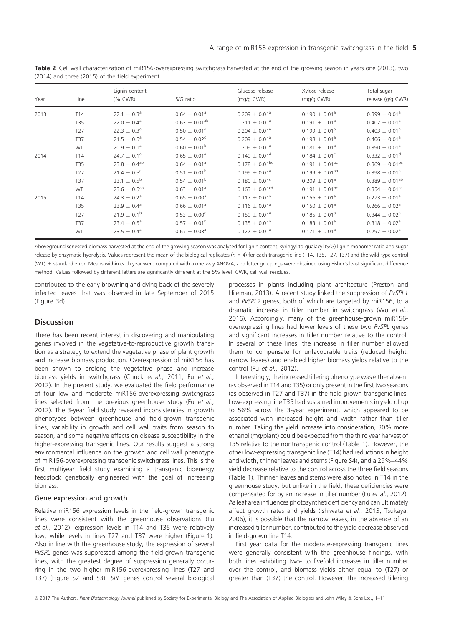| Year | Line            | Lignin content<br>$(%$ CWR $)$ | S/G ratio               | Glucose release<br>(mg/g CWR) | Xylose release<br>(mg/g CWR) | Total sugar<br>release (g/g CWR) |
|------|-----------------|--------------------------------|-------------------------|-------------------------------|------------------------------|----------------------------------|
| 2013 | T <sub>14</sub> | $22.1 \pm 0.3^a$               | $0.64 \pm 0.01^a$       | $0.209 \pm 0.01^a$            | $0.190 \pm 0.01^a$           | $0.399 \pm 0.01^a$               |
|      | <b>T35</b>      | $22.0 \pm 0.4^a$               | $0.63 \pm 0.01^{ab}$    | $0.211 \pm 0.01^a$            | $0.191 \pm 0.01^a$           | $0.402 \pm 0.01^a$               |
|      | T <sub>27</sub> | $22.3 \pm 0.3^a$               | $0.50 \pm 0.01^d$       | $0.204 \pm 0.01^a$            | $0.199 \pm 0.01^a$           | $0.403 \pm 0.01^a$               |
|      | <b>T37</b>      | $21.5 \pm 0.5^{\circ}$         | $0.54 \pm 0.02^c$       | $0.209 \pm 0.01^a$            | $0.198 \pm 0.01^a$           | $0.406 \pm 0.01^a$               |
|      | <b>WT</b>       | $20.9 \pm 0.1^a$               | $0.60 \pm 0.01^{\rm b}$ | $0.209 \pm 0.01^a$            | $0.181 \pm 0.01^a$           | $0.390 \pm 0.01^a$               |
| 2014 | T <sub>14</sub> | $24.7 \pm 0.1^a$               | $0.65 \pm 0.01^a$       | $0.149 \pm 0.01^d$            | $0.184 \pm 0.01^c$           | $0.332 \pm 0.01^d$               |
|      | <b>T35</b>      | $23.8 \pm 0.4^{ab}$            | $0.64 \pm 0.01^a$       | $0.178 \pm 0.01^{bc}$         | $0.191 + 0.01^{bc}$          | $0.369 \pm 0.01^{bc}$            |
|      | T <sub>27</sub> | $21.4 \pm 0.5^c$               | $0.51 \pm 0.01^{\rm b}$ | $0.199 \pm 0.01^a$            | $0.199 \pm 0.01^{ab}$        | $0.398 \pm 0.01^a$               |
|      | <b>T37</b>      | $23.1 \pm 0.5^{\rm b}$         | $0.54 \pm 0.01^{\rm b}$ | $0.180 \pm 0.01^{\circ}$      | $0.209 \pm 0.01^a$           | $0.389 \pm 0.01^{ab}$            |
|      | <b>WT</b>       | $23.6 \pm 0.5^{ab}$            | $0.63 \pm 0.01^a$       | $0.163 \pm 0.01^{cd}$         | $0.191 \pm 0.01^{bc}$        | $0.354 \pm 0.01^{cd}$            |
| 2015 | T <sub>14</sub> | $24.3 \pm 0.2^a$               | $0.65 \pm 0.00^a$       | $0.117 \pm 0.01^a$            | $0.156 \pm 0.01^a$           | $0.273 \pm 0.01^a$               |
|      | <b>T35</b>      | $23.9 \pm 0.4^a$               | $0.66 \pm 0.01^a$       | $0.116 \pm 0.01^a$            | $0.150 \pm 0.01^a$           | $0.266 \pm 0.02^a$               |
|      | T <sub>27</sub> | $21.9 \pm 0.1^b$               | $0.53 \pm 0.00^{\circ}$ | $0.159 \pm 0.01^a$            | $0.185 \pm 0.01^a$           | $0.344 \pm 0.02^a$               |
|      | T <sub>37</sub> | $23.4 \pm 0.5^{\circ}$         | $0.57 \pm 0.01^{\rm b}$ | $0.135 \pm 0.01^a$            | $0.183 \pm 0.01^a$           | $0.318 \pm 0.02^a$               |
|      | WT              | $23.5 \pm 0.4^a$               | $0.67 \pm 0.03^a$       | $0.127 \pm 0.01^a$            | $0.171 \pm 0.01^a$           | $0.297 \pm 0.02^a$               |

Table 2 Cell wall characterization of miR156-overexpressing switchgrass harvested at the end of the growing season in years one (2013), two (2014) and three (2015) of the field experiment

Aboveground senesced biomass harvested at the end of the growing season was analysed for lignin content, syringyl-to-guaiacyl (S/G) lignin monomer ratio and sugar release by enzymatic hydrolysis. Values represent the mean of the biological replicates ( $n = 4$ ) for each transgenic line (T14, T35, T27, T37) and the wild-type control (WT)  $\pm$  standard error. Means within each year were compared with a one-way ANOVA, and letter groupings were obtained using Fisher's least significant difference method. Values followed by different letters are significantly different at the 5% level. CWR, cell wall residues.

contributed to the early browning and dying back of the severely infected leaves that was observed in late September of 2015 (Figure 3d).

## **Discussion**

There has been recent interest in discovering and manipulating genes involved in the vegetative-to-reproductive growth transition as a strategy to extend the vegetative phase of plant growth and increase biomass production. Overexpression of miR156 has been shown to prolong the vegetative phase and increase biomass yields in switchgrass (Chuck et al., 2011; Fu et al., 2012). In the present study, we evaluated the field performance of four low and moderate miR156-overexpressing switchgrass lines selected from the previous greenhouse study (Fu et al., 2012). The 3-year field study revealed inconsistencies in growth phenotypes between greenhouse and field-grown transgenic lines, variability in growth and cell wall traits from season to season, and some negative effects on disease susceptibility in the higher-expressing transgenic lines. Our results suggest a strong environmental influence on the growth and cell wall phenotype of miR156-overexpressing transgenic switchgrass lines. This is the first multiyear field study examining a transgenic bioenergy feedstock genetically engineered with the goal of increasing biomass.

#### Gene expression and growth

Relative miR156 expression levels in the field-grown transgenic lines were consistent with the greenhouse observations (Fu et al., 2012): expression levels in T14 and T35 were relatively low, while levels in lines T27 and T37 were higher (Figure 1). Also in line with the greenhouse study, the expression of several PvSPL genes was suppressed among the field-grown transgenic lines, with the greatest degree of suppression generally occurring in the two higher miR156-overexpressing lines (T27 and T37) (Figure S2 and S3). SPL genes control several biological

processes in plants including plant architecture (Preston and Hileman, 2013). A recent study linked the suppression of PvSPL1 and PvSPL2 genes, both of which are targeted by miR156, to a dramatic increase in tiller number in switchgrass (Wu et al., 2016). Accordingly, many of the greenhouse-grown miR156 overexpressing lines had lower levels of these two PvSPL genes and significant increases in tiller number relative to the control. In several of these lines, the increase in tiller number allowed them to compensate for unfavourable traits (reduced height, narrow leaves) and enabled higher biomass yields relative to the control (Fu et al., 2012).

Interestingly, the increased tillering phenotype was either absent (as observed in T14 and T35) or only present in the first two seasons (as observed in T27 and T37) in the field-grown transgenic lines. Low-expressing line T35 had sustained improvements in yield of up to 56% across the 3-year experiment, which appeared to be associated with increased height and width rather than tiller number. Taking the yield increase into consideration, 30% more ethanol (mg/plant) could be expected from the third year harvest of T35 relative to the nontransgenic control (Table 1). However, the other low-expressing transgenic line (T14) had reductions in height and width, thinner leaves and stems (Figure S4), and a 29%–44% yield decrease relative to the control across the three field seasons (Table 1). Thinner leaves and stems were also noted in T14 in the greenhouse study, but unlike in the field, these deficiencies were compensated for by an increase in tiller number (Fu et al., 2012). As leaf area influences photosynthetic efficiency and can ultimately affect growth rates and yields (Ishiwata et al., 2013; Tsukaya, 2006), it is possible that the narrow leaves, in the absence of an increased tiller number, contributed to the yield decrease observed in field-grown line T14.

First year data for the moderate-expressing transgenic lines were generally consistent with the greenhouse findings, with both lines exhibiting two- to fivefold increases in tiller number over the control, and biomass yields either equal to (T27) or greater than (T37) the control. However, the increased tillering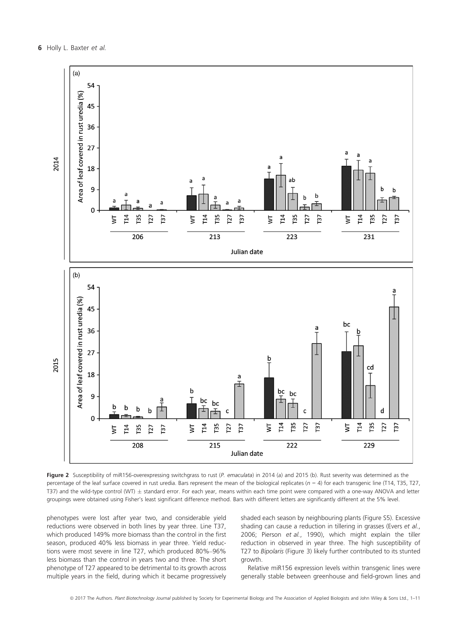

Figure 2 Susceptibility of miR156-overexpressing switchgrass to rust (P. emaculata) in 2014 (a) and 2015 (b). Rust severity was determined as the percentage of the leaf surface covered in rust uredia. Bars represent the mean of the biological replicates ( $n = 4$ ) for each transgenic line (T14, T35, T27, T37) and the wild-type control (WT)  $\pm$  standard error. For each year, means within each time point were compared with a one-way ANOVA and letter groupings were obtained using Fisher's least significant difference method. Bars with different letters are significantly different at the 5% level.

phenotypes were lost after year two, and considerable yield reductions were observed in both lines by year three. Line T37, which produced 149% more biomass than the control in the first season, produced 40% less biomass in year three. Yield reductions were most severe in line T27, which produced 80%–96% less biomass than the control in years two and three. The short phenotype of T27 appeared to be detrimental to its growth across multiple years in the field, during which it became progressively shaded each season by neighbouring plants (Figure S5). Excessive shading can cause a reduction in tillering in grasses (Evers et al., 2006; Pierson et al., 1990), which might explain the tiller reduction in observed in year three. The high susceptibility of T27 to Bipolaris (Figure 3) likely further contributed to its stunted growth.

Relative miR156 expression levels within transgenic lines were generally stable between greenhouse and field-grown lines and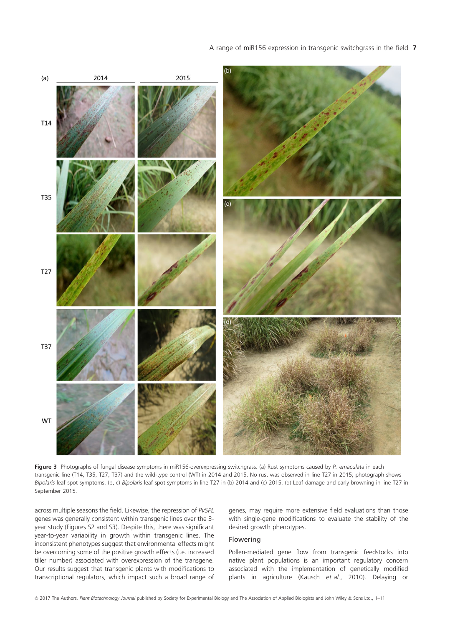### A range of miR156 expression in transgenic switchgrass in the field 7



Figure 3 Photographs of fungal disease symptoms in miR156-overexpressing switchgrass. (a) Rust symptoms caused by P. emaculata in each transgenic line (T14, T35, T27, T37) and the wild-type control (WT) in 2014 and 2015. No rust was observed in line T27 in 2015; photograph shows Bipolaris leaf spot symptoms. (b, c) Bipolaris leaf spot symptoms in line T27 in (b) 2014 and (c) 2015. (d) Leaf damage and early browning in line T27 in September 2015.

across multiple seasons the field. Likewise, the repression of PvSPL genes was generally consistent within transgenic lines over the 3 year study (Figures S2 and S3). Despite this, there was significant year-to-year variability in growth within transgenic lines. The inconsistent phenotypes suggest that environmental effects might be overcoming some of the positive growth effects (i.e. increased tiller number) associated with overexpression of the transgene. Our results suggest that transgenic plants with modifications to transcriptional regulators, which impact such a broad range of genes, may require more extensive field evaluations than those with single-gene modifications to evaluate the stability of the desired growth phenotypes.

#### Flowering

Pollen-mediated gene flow from transgenic feedstocks into native plant populations is an important regulatory concern associated with the implementation of genetically modified plants in agriculture (Kausch et al., 2010). Delaying or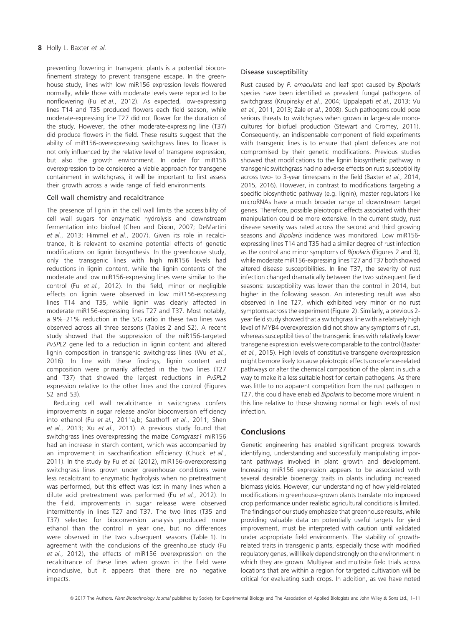preventing flowering in transgenic plants is a potential bioconfinement strategy to prevent transgene escape. In the greenhouse study, lines with low miR156 expression levels flowered normally, while those with moderate levels were reported to be nonflowering (Fu et al., 2012). As expected, low-expressing lines T14 and T35 produced flowers each field season, while moderate-expressing line T27 did not flower for the duration of the study. However, the other moderate-expressing line (T37) did produce flowers in the field. These results suggest that the ability of miR156-overexpressing switchgrass lines to flower is not only influenced by the relative level of transgene expression, but also the growth environment. In order for miR156 overexpression to be considered a viable approach for transgene containment in switchgrass, it will be important to first assess their growth across a wide range of field environments.

### Cell wall chemistry and recalcitrance

The presence of lignin in the cell wall limits the accessibility of cell wall sugars for enzymatic hydrolysis and downstream fermentation into biofuel (Chen and Dixon, 2007; DeMartini et al., 2013; Himmel et al., 2007). Given its role in recalcitrance, it is relevant to examine potential effects of genetic modifications on lignin biosynthesis. In the greenhouse study, only the transgenic lines with high miR156 levels had reductions in lignin content, while the lignin contents of the moderate and low miR156-expressing lines were similar to the control (Fu et al., 2012). In the field, minor or negligible effects on lignin were observed in low miR156-expressing lines T14 and T35, while lignin was clearly affected in moderate miR156-expressing lines T27 and T37. Most notably, a 9%–21% reduction in the S/G ratio in these two lines was observed across all three seasons (Tables 2 and S2). A recent study showed that the suppression of the miR156-targeted PvSPL2 gene led to a reduction in lignin content and altered lignin composition in transgenic switchgrass lines (Wu et al., 2016). In line with these findings, lignin content and composition were primarily affected in the two lines (T27 and T37) that showed the largest reductions in PvSPL2 expression relative to the other lines and the control (Figures S2 and S3).

Reducing cell wall recalcitrance in switchgrass confers improvements in sugar release and/or bioconversion efficiency into ethanol (Fu et al., 2011a,b; Saathoff et al., 2011; Shen et al., 2013; Xu et al., 2011). A previous study found that switchgrass lines overexpressing the maize Corngrass1 miR156 had an increase in starch content, which was accompanied by an improvement in saccharification efficiency (Chuck et al., 2011). In the study by Fu et al. (2012), miR156-overexpressing switchgrass lines grown under greenhouse conditions were less recalcitrant to enzymatic hydrolysis when no pretreatment was performed, but this effect was lost in many lines when a dilute acid pretreatment was performed (Fu et al., 2012). In the field, improvements in sugar release were observed intermittently in lines T27 and T37. The two lines (T35 and T37) selected for bioconversion analysis produced more ethanol than the control in year one, but no differences were observed in the two subsequent seasons (Table 1). In agreement with the conclusions of the greenhouse study (Fu et al., 2012), the effects of miR156 overexpression on the recalcitrance of these lines when grown in the field were inconclusive, but it appears that there are no negative impacts.

### Disease susceptibility

Rust caused by P. emaculata and leaf spot caused by Bipolaris species have been identified as prevalent fungal pathogens of switchgrass (Krupinsky et al., 2004; Uppalapati et al., 2013; Vu et al., 2011, 2013; Zale et al., 2008). Such pathogens could pose serious threats to switchgrass when grown in large-scale monocultures for biofuel production (Stewart and Cromey, 2011). Consequently, an indispensable component of field experiments with transgenic lines is to ensure that plant defences are not compromised by their genetic modifications. Previous studies showed that modifications to the lignin biosynthetic pathway in transgenic switchgrass had no adverse effects on rust susceptibility across two- to 3-year timespans in the field (Baxter et al., 2014, 2015, 2016). However, in contrast to modifications targeting a specific biosynthetic pathway (e.g. lignin), master regulators like microRNAs have a much broader range of downstream target genes. Therefore, possible pleiotropic effects associated with their manipulation could be more extensive. In the current study, rust disease severity was rated across the second and third growing seasons and Bipolaris incidence was monitored. Low miR156 expressing lines T14 and T35 had a similar degree of rust infection as the control and minor symptoms of Bipolaris (Figures 2 and 3), while moderate miR156-expressing lines T27 and T37 both showed altered disease susceptibilities. In line T37, the severity of rust infection changed dramatically between the two subsequent field seasons: susceptibility was lower than the control in 2014, but higher in the following season. An interesting result was also observed in line T27, which exhibited very minor or no rust symptoms across the experiment (Figure 2). Similarly, a previous 2 year field study showed that a switchgrass line with a relatively high level of MYB4 overexpression did not show any symptoms of rust, whereas susceptibilities of the transgenic lines with relatively lower transgene expression levels were comparable to the control (Baxter et al., 2015). High levels of constitutive transgene overexpression might be more likely to cause pleiotropic effects on defence-related pathways or alter the chemical composition of the plant in such a way to make it a less suitable host for certain pathogens. As there was little to no apparent competition from the rust pathogen in T27, this could have enabled Bipolaris to become more virulent in this line relative to those showing normal or high levels of rust infection.

## **Conclusions**

Genetic engineering has enabled significant progress towards identifying, understanding and successfully manipulating important pathways involved in plant growth and development. Increasing miR156 expression appears to be associated with several desirable bioenergy traits in plants including increased biomass yields. However, our understanding of how yield-related modifications in greenhouse-grown plants translate into improved crop performance under realistic agricultural conditions is limited. The findings of our study emphasize that greenhouse results, while providing valuable data on potentially useful targets for yield improvement, must be interpreted with caution until validated under appropriate field environments. The stability of growthrelated traits in transgenic plants, especially those with modified regulatory genes, will likely depend strongly on the environment in which they are grown. Multiyear and multisite field trials across locations that are within a region for targeted cultivation will be critical for evaluating such crops. In addition, as we have noted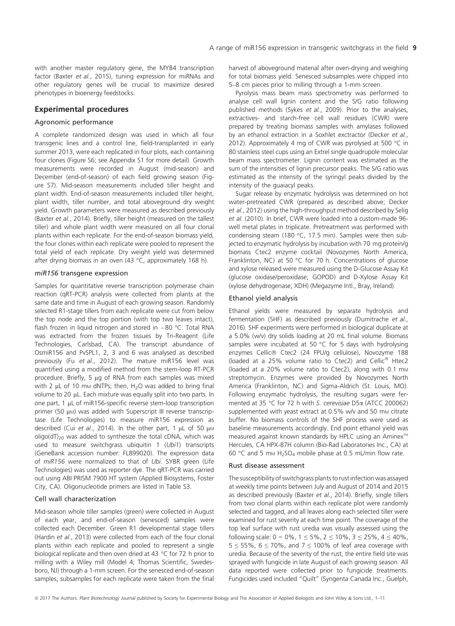with another master regulatory gene, the MYB4 transcription factor (Baxter et al., 2015), tuning expression for miRNAs and other regulatory genes will be crucial to maximize desired phenotypes in bioenergy feedstocks.

## Experimental procedures

### Agronomic performance

A complete randomized design was used in which all four transgenic lines and a control line, field-transplanted in early summer 2013, were each replicated in four plots, each containing four clones (Figure S6; see Appendix S1 for more detail). Growth measurements were recorded in August (mid-season) and December (end-of-season) of each field growing season (Figure S7). Mid-season measurements included tiller height and plant width. End-of-season measurements included tiller height, plant width, tiller number, and total aboveground dry weight yield. Growth parameters were measured as described previously (Baxter et al., 2014). Briefly, tiller height (measured on the tallest tiller) and whole plant width were measured on all four clonal plants within each replicate. For the end-of-season biomass yield, the four clones within each replicate were pooled to represent the total yield of each replicate. Dry weight yield was determined after drying biomass in an oven (43 °C, approximately 168 h).

#### miR156 transgene expression

Samples for quantitative reverse transcription polymerase chain reaction (qRT-PCR) analysis were collected from plants at the same date and time in August of each growing season. Randomly selected R1-stage tillers from each replicate were cut from below the top node and the top portion (with top two leaves intact), flash frozen in liquid nitrogen and stored in  $-80$  °C. Total RNA was extracted from the frozen tissues by Tri-Reagent (Life Technologies, Carlsbad, CA). The transcript abundance of OsmiR156 and PvSPL1, 2, 3 and 6 was analysed as described previously (Fu et al., 2012). The mature miR156 level was quantified using a modified method from the stem-loop RT-PCR procedure. Briefly, 5 ug of RNA from each samples was mixed with 2  $\mu$ L of 10 mm dNTPs; then, H<sub>2</sub>O was added to bring final volume to 20 µL. Each mixture was equally split into two parts. In one part, 1 µL of miR156-specific reverse stem-loop transcription primer (50  $\mu$ M) was added with Superscript III reverse transcriptase (Life Technologies) to measure miR156 expression as described (Cui et al., 2014). In the other part, 1  $\mu$ L of 50  $\mu$ M oligo(dT)<sub>20</sub> was added to synthesize the total cDNA, which was used to measure switchgrass ubiquitin 1 (Ubi1) transcripts (GeneBank accession number: FL899020). The expression data of miR156 were normalized to that of Ubi. SYBR green (Life Technologies) was used as reporter dye. The qRT-PCR was carried out using ABI PRISM 7900 HT system (Applied Biosystems, Foster City, CA). Oligonucleotide primers are listed in Table S3.

## Cell wall characterization

Mid-season whole tiller samples (green) were collected in August of each year, and end-of-season (senesced) samples were collected each December. Green R1 developmental stage tillers (Hardin et al., 2013) were collected from each of the four clonal plants within each replicate and pooled to represent a single biological replicate and then oven dried at 43 °C for 72 h prior to milling with a Wiley mill (Model 4; Thomas Scientific, Swedesboro, NJ) through a 1-mm screen. For the senesced end-of-season samples, subsamples for each replicate were taken from the final harvest of aboveground material after oven-drying and weighing for total biomass yield. Senesced subsamples were chipped into 5–8 cm pieces prior to milling through a 1-mm screen.

Pyrolysis mass beam mass spectrometry was performed to analyse cell wall lignin content and the S/G ratio following published methods (Sykes et al., 2009). Prior to the analyses, extractives- and starch-free cell wall residues (CWR) were prepared by treating biomass samples with amylases followed by an ethanol extraction in a Soxhlet exctractor (Decker et al., 2012). Approximately 4 mg of CWR was pyrolysed at 500 °C in 80 stainless steel cups using an Extrel single quadrupole molecular beam mass spectrometer. Lignin content was estimated as the sum of the intensities of lignin precursor peaks. The S/G ratio was estimated as the intensity of the syringyl peaks divided by the intensity of the guaiacyl peaks.

Sugar release by enzymatic hydrolysis was determined on hot water-pretreated CWR (prepared as described above; Decker et al., 2012) using the high-throughput method described by Selig et al. (2010). In brief, CWR were loaded into a custom-made 96 well metal plates in triplicate. Pretreatment was performed with condensing steam (180 °C, 17.5 min). Samples were then subjected to enzymatic hydrolysis by incubation with 70 mg protein/g biomass Ctec2 enzyme cocktail (Novozymes North America, Franklinton, NC) at 50 °C for 70 h. Concentrations of glucose and xylose released were measured using the D-Glucose Assay Kit (glucose oxidase/peroxidase; GOPOD) and D-Xylose Assay Kit (xylose dehydrogenase; XDH) (Megazyme Intl., Bray, Ireland).

### Ethanol yield analysis

Ethanol yields were measured by separate hydrolysis and fermentation (SHF) as described previously (Dumitrache et al., 2016). SHF experiments were performed in biological duplicate at a 5.0% (w/v) dry solids loading at 20 mL final volume. Biomass samples were incubated at 50 °C for 5 days with hydrolysing enzymes Cellic® Ctec2 (24 FPU/g cellulose), Novozyme 188 (loaded at a 25% volume ratio to Ctec2) and Cellic<sup>®</sup> Htec2 (loaded at a 20% volume ratio to Ctec2), along with 0.1  $mm$ streptomycin. Enzymes were provided by Novozymes North America (Franklinton, NC) and Sigma-Aldrich (St. Louis, MO). Following enzymatic hydrolysis, the resulting sugars were fermented at 35 °C for 72 h with S. cerevisiae D5a (ATCC 200062) supplemented with yeast extract at 0.5% w/v and 50 mm citrate buffer. No biomass controls of the SHF process were used as baseline measurements accordingly. End point ethanol yield was measured against known standards by HPLC using an Aminex<sup>™</sup> Hercules, CA HPX-87H column (Bio-Rad Laboratories Inc., CA) at 60 °C and 5 mm  $H_2SO_4$  mobile phase at 0.5 mL/min flow rate.

#### Rust disease assessment

The susceptibility of switchgrass plants to rust infection was assayed at weekly time points between July and August of 2014 and 2015 as described previously (Baxter et al., 2014). Briefly, single tillers from two clonal plants within each replicate plot were randomly selected and tagged, and all leaves along each selected tiller were examined for rust severity at each time point. The coverage of the top leaf surface with rust uredia was visually assessed using the following scale:  $0 = 0\%$ ,  $1 \le 5\%$ ,  $2 \le 10\%$ ,  $3 \le 25\%$ ,  $4 \le 40\%$ , 5  $\le$  55%, 6  $\le$  70%, and 7  $\le$  100% of leaf area coverage with uredia. Because of the severity of the rust, the entire field site was sprayed with fungicide in late August of each growing season. All data reported were collected prior to fungicide treatments. Fungicides used included "Quilt" (Syngenta Canada Inc., Guelph,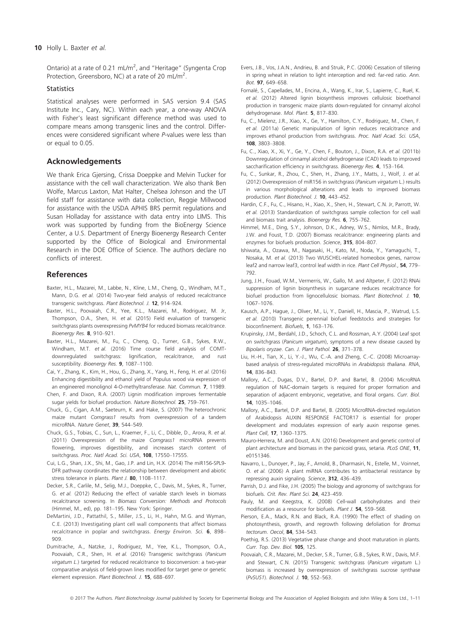#### 10 Holly L. Baxter et al.

Ontario) at a rate of 0.21 mL/m<sup>2</sup>, and "Heritage" (Syngenta Crop Protection, Greensboro, NC) at a rate of 20 mL/m<sup>2</sup>.

#### **Statistics**

Statistical analyses were performed in SAS version 9.4 (SAS Institute Inc., Cary, NC). Within each year, a one-way ANOVA with Fisher's least significant difference method was used to compare means among transgenic lines and the control. Differences were considered significant where P-values were less than or equal to 0.05.

## Acknowledgements

We thank Erica Gjersing, Crissa Doeppke and Melvin Tucker for assistance with the cell wall characterization. We also thank Ben Wolfe, Marcus Laxton, Mat Halter, Chelsea Johnson and the UT field staff for assistance with data collection, Reggie Millwood for assistance with the USDA APHIS BRS permit regulations and Susan Holladay for assistance with data entry into LIMS. This work was supported by funding from the BioEnergy Science Center, a U.S. Department of Energy Bioenergy Research Center supported by the Office of Biological and Environmental Research in the DOE Office of Science. The authors declare no conflicts of interest.

### References

- Baxter, H.L., Mazarei, M., Labbe, N., Kline, L.M., Cheng, Q., Windham, M.T., Mann, D.G. et al. (2014) Two-year field analysis of reduced recalcitrance transgenic switchgrass. Plant Biotechnol. J. 12, 914–924.
- Baxter, H.L., Poovaiah, C.R., Yee, K.L., Mazarei, M., Rodriguez, M. Jr, Thompson, O.A., Shen, H. et al. (2015) Field evaluation of transgenic switchgrass plants overexpressing PvMYB4 for reduced biomass recalcitrance. Bioenergy Res. 8, 910–921.
- Baxter, H.L., Mazarei, M., Fu, C., Cheng, Q., Turner, G.B., Sykes, R.W., Windham, M.T. et al. (2016) Time course field analysis of COMTdownregulated switchgrass: lignification, recalcitrance, and rust susceptibility. Bioenergy Res. 9, 1087-1100.
- Cai, Y., Zhang, K., Kim, H., Hou, G., Zhang, X., Yang, H., Feng, H. et al. (2016) Enhancing digestibility and ethanol yield of Populus wood via expression of an engineered monolignol 4-O-methyltransferase. Nat. Commun. 7, 11989.
- Chen, F. and Dixon, R.A. (2007) Lignin modification improves fermentable sugar yields for biofuel production. Nature Biotechnol. 25, 759–761.
- Chuck, G., Cigan, A.M., Saeteurn, K. and Hake, S. (2007) The heterochronic maize mutant Corngrass1 results from overexpression of a tandem microRNA. Nature Genet, 39, 544–549.
- Chuck, G.S., Tobias, C., Sun, L., Kraemer, F., Li, C., Dibble, D., Arora, R. et al. (2011) Overexpression of the maize Corngrass1 microRNA prevents flowering, improves digestibility, and increases starch content of switchgrass. Proc. Natl Acad. Sci. USA, 108, 17550-17555.
- Cui, L.G., Shan, J.X., Shi, M., Gao, J.P. and Lin, H.X. (2014) The miR156-SPL9- DFR pathway coordinates the relationship between development and abiotic stress tolerance in plants. Plant J. 80, 1108-1117.
- Decker, S.R., Carlile, M., Selig, M.J., Doeppke, C., Davis, M., Sykes, R., Turner, G. et al. (2012) Reducing the effect of variable starch levels in biomass recalcitrance screening. In Biomass Conversion: Methods and Protocols (Himmel, M., ed), pp. 181–195. New York: Springer.
- DeMartini, J.D., Pattathil, S., Miller, J.S., Li, H., Hahn, M.G. and Wyman, C.E. (2013) Investigating plant cell wall components that affect biomass recalcitrance in poplar and switchgrass. Energy Environ. Sci. 6, 898-909.
- Dumitrache, A., Natzke, J., Rodriguez, M., Yee, K.L., Thompson, O.A., Poovaiah, C.R., Shen, H. et al. (2016) Transgenic switchgrass (Panicum virgatum L.) targeted for reduced recalcitrance to bioconversion: a two-year comparative analysis of field-grown lines modified for target gene or genetic element expression. Plant Biotechnol. J. 15, 688–697.
- Evers, J.B., Vos, J.A.N., Andrieu, B. and Struik, P.C. (2006) Cessation of tillering in spring wheat in relation to light interception and red: far-red ratio. Ann. Bot. 97, 649–658.
- Fornalé, S., Capellades, M., Encina, A., Wang, K., Irar, S., Lapierre, C., Ruel, K. et al. (2012) Altered lignin biosynthesis improves cellulosic bioethanol production in transgenic maize plants down-regulated for cinnamyl alcohol dehydrogenase. Mol. Plant. 5, 817–830.
- Fu, C., Mielenz, J.R., Xiao, X., Ge, Y., Hamilton, C.Y., Rodriguez, M., Chen, F. et al. (2011a) Genetic manipulation of lignin reduces recalcitrance and improves ethanol production from switchgrass. Proc. Natl Acad. Sci. USA, 108, 3803–3808.
- Fu, C., Xiao, X., Xi, Y., Ge, Y., Chen, F., Bouton, J., Dixon, R.A. et al. (2011b) Downregulation of cinnamyl alcohol dehydrogenase (CAD) leads to improved saccharification efficiency in switchgrass. Bioenergy Res. 4, 153-164.
- Fu, C., Sunkar, R., Zhou, C., Shen, H., Zhang, J.Y., Matts, J., Wolf, J. et al. (2012) Overexpression of miR156 in switchgrass (Panicum virgatum L.) results in various morphological alterations and leads to improved biomass production. Plant Biotechnol. J. 10, 443–452.
- Hardin, C.F., Fu, C., Hisano, H., Xiao, X., Shen, H., Stewart, C.N. Jr, Parrott, W. et al. (2013) Standardization of switchgrass sample collection for cell wall and biomass trait analysis. Bioenergy Res. 6, 755–762.
- Himmel, M.E., Ding, S.Y., Johnson, D.K., Adney, W.S., Nimlos, M.R., Brady, J.W. and Foust, T.D. (2007) Biomass recalcitrance: engineering plants and enzymes for biofuels production. Science, 315, 804–807.
- Ishiwata, A., Ozawa, M., Nagasaki, H., Kato, M., Noda, Y., Yamaguchi, T., Nosaka, M. et al. (2013) Two WUSCHEL-related homeobox genes, narrow leaf2 and narrow leaf3, control leaf width in rice. Plant Cell Physiol., **54**, 779– 792.
- Jung, J.H., Fouad, W.M., Vermerris, W., Gallo, M. and Altpeter, F. (2012) RNAi suppression of lignin biosynthesis in sugarcane reduces recalcitrance for biofuel production from lignocellulosic biomass. Plant Biotechnol. J. 10, 1067–1076.
- Kausch, A.P., Hague, J., Oliver, M., Li, Y., Daniell, H., Mascia, P., Watrud, L.S. et al. (2010) Transgenic perennial biofuel feedstocks and strategies for bioconfinement. Biofuels, 1, 163–176.
- Krupinsky, J.M., Berdahl, J.D., Schoch, C.L. and Rossman, A.Y. (2004) Leaf spot on switchgrass (Panicum virgatum), symptoms of a new disease caused by Bipolaris oryzae. Can. J. Plant Pathol. 26, 371–378.
- Liu, H.-H., Tian, X., Li, Y.-J., Wu, C.-A. and Zheng, C.-C. (2008) Microarraybased analysis of stress-regulated microRNAs in Arabidopsis thaliana. RNA, 14, 836–843.
- Mallory, A.C., Dugas, D.V., Bartel, D.P. and Bartel, B. (2004) MicroRNA regulation of NAC-domain targets is required for proper formation and separation of adjacent embryonic, vegetative, and floral organs. Curr. Biol. 14, 1035–1046.
- Mallory, A.C., Bartel, D.P. and Bartel, B. (2005) MicroRNA-directed regulation of Arabidopsis AUXIN RESPONSE FACTOR17 is essential for proper development and modulates expression of early auxin response genes. Plant Cell, 17, 1360–1375.
- Mauro-Herrera, M. and Doust, A.N. (2016) Development and genetic control of plant architecture and biomass in the panicoid grass, setaria. PLoS ONE, 11, e0151346.
- Navarro, L., Dunoyer, P., Jay, F., Arnold, B., Dharmasiri, N., Estelle, M., Voinnet, O. et al. (2006) A plant miRNA contributes to antibacterial resistance by repressing auxin signaling. Science, 312, 436–439.
- Parrish, D.J. and Fike, J.H. (2005) The biology and agronomy of switchgrass for biofuels. Crit. Rev. Plant Sci. 24, 423–459.
- Pauly, M. and Keegstra, K. (2008) Cell-wall carbohydrates and their modification as a resource for biofuels. Plant J. 54, 559–568.
- Pierson, E.A., Mack, R.N. and Black, R.A. (1990) The effect of shading on photosynthesis, growth, and regrowth following defoliation for Bromus tectorum. Oecol, 84, 534–543.
- Poethig, R.S. (2013) Vegetative phase change and shoot maturation in plants. Curr. Top. Dev. Biol. 105, 125.
- Poovaiah, C.R., Mazarei, M., Decker, S.R., Turner, G.B., Sykes, R.W., Davis, M.F. and Stewart, C.N. (2015) Transgenic switchgrass (Panicum virgatum L.) biomass is increased by overexpression of switchgrass sucrose synthase (PvSUS1). Biotechnol. J. 10, 552–563.